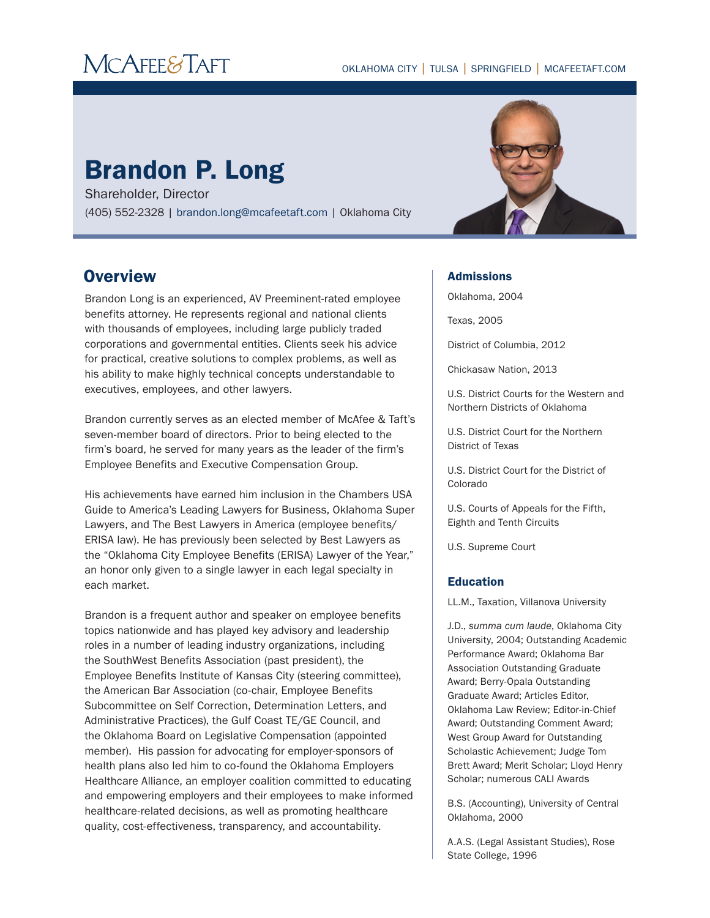# **MCAFEE&TAFT**

# Brandon P. Long

Shareholder, Director (405) 552-2328 | brandon.long@mcafeetaft.com | Oklahoma City

# **Overview**

Brandon Long is an experienced, AV Preeminent-rated employee benefits attorney. He represents regional and national clients with thousands of employees, including large publicly traded corporations and governmental entities. Clients seek his advice for practical, creative solutions to complex problems, as well as his ability to make highly technical concepts understandable to executives, employees, and other lawyers.

Brandon currently serves as an elected member of McAfee & Taft's seven-member board of directors. Prior to being elected to the firm's board, he served for many years as the leader of the firm's Employee Benefits and Executive Compensation Group.

His achievements have earned him inclusion in the Chambers USA Guide to America's Leading Lawyers for Business, Oklahoma Super Lawyers, and The Best Lawyers in America (employee benefits/ ERISA law). He has previously been selected by Best Lawyers as the "Oklahoma City Employee Benefits (ERISA) Lawyer of the Year," an honor only given to a single lawyer in each legal specialty in each market.

Brandon is a frequent author and speaker on employee benefits topics nationwide and has played key advisory and leadership roles in a number of leading industry organizations, including the SouthWest Benefits Association (past president), the Employee Benefits Institute of Kansas City (steering committee), the American Bar Association (co-chair, Employee Benefits Subcommittee on Self Correction, Determination Letters, and Administrative Practices), the Gulf Coast TE/GE Council, and the Oklahoma Board on Legislative Compensation (appointed member). His passion for advocating for employer-sponsors of health plans also led him to co-found the Oklahoma Employers Healthcare Alliance, an employer coalition committed to educating and empowering employers and their employees to make informed healthcare-related decisions, as well as promoting healthcare quality, cost-effectiveness, transparency, and accountability.

#### Admissions

Oklahoma, 2004

Texas, 2005

District of Columbia, 2012

Chickasaw Nation, 2013

U.S. District Courts for the Western and Northern Districts of Oklahoma

U.S. District Court for the Northern District of Texas

U.S. District Court for the District of Colorado

U.S. Courts of Appeals for the Fifth, Eighth and Tenth Circuits

U.S. Supreme Court

#### Education

LL.M., Taxation, Villanova University

J.D., *summa cum laude*, Oklahoma City University, 2004; Outstanding Academic Performance Award; Oklahoma Bar Association Outstanding Graduate Award; Berry-Opala Outstanding Graduate Award; Articles Editor, Oklahoma Law Review; Editor-in-Chief Award; Outstanding Comment Award; West Group Award for Outstanding Scholastic Achievement; Judge Tom Brett Award; Merit Scholar; Lloyd Henry Scholar; numerous CALI Awards

B.S. (Accounting), University of Central Oklahoma, 2000

A.A.S. (Legal Assistant Studies), Rose State College, 1996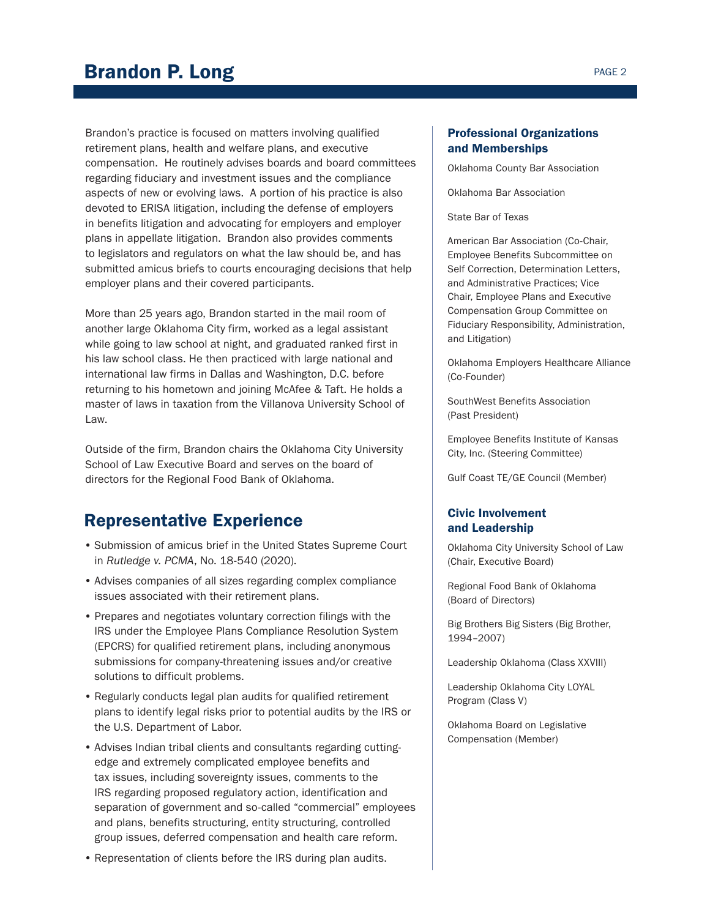Brandon's practice is focused on matters involving qualified retirement plans, health and welfare plans, and executive compensation. He routinely advises boards and board committees regarding fiduciary and investment issues and the compliance aspects of new or evolving laws. A portion of his practice is also devoted to ERISA litigation, including the defense of employers in benefits litigation and advocating for employers and employer plans in appellate litigation. Brandon also provides comments to legislators and regulators on what the law should be, and has submitted amicus briefs to courts encouraging decisions that help employer plans and their covered participants.

More than 25 years ago, Brandon started in the mail room of another large Oklahoma City firm, worked as a legal assistant while going to law school at night, and graduated ranked first in his law school class. He then practiced with large national and international law firms in Dallas and Washington, D.C. before returning to his hometown and joining McAfee & Taft. He holds a master of laws in taxation from the Villanova University School of Law.

Outside of the firm, Brandon chairs the Oklahoma City University School of Law Executive Board and serves on the board of directors for the Regional Food Bank of Oklahoma.

## Representative Experience

- Submission of amicus brief in the United States Supreme Court in *Rutledge v. PCMA*, No. 18-540 (2020).
- Advises companies of all sizes regarding complex compliance issues associated with their retirement plans.
- Prepares and negotiates voluntary correction filings with the IRS under the Employee Plans Compliance Resolution System (EPCRS) for qualified retirement plans, including anonymous submissions for company-threatening issues and/or creative solutions to difficult problems.
- Regularly conducts legal plan audits for qualified retirement plans to identify legal risks prior to potential audits by the IRS or the U.S. Department of Labor.
- Advises Indian tribal clients and consultants regarding cuttingedge and extremely complicated employee benefits and tax issues, including sovereignty issues, comments to the IRS regarding proposed regulatory action, identification and separation of government and so-called "commercial" employees and plans, benefits structuring, entity structuring, controlled group issues, deferred compensation and health care reform.
- Representation of clients before the IRS during plan audits.

### Professional Organizations and Memberships

Oklahoma County Bar Association

Oklahoma Bar Association

State Bar of Texas

American Bar Association (Co-Chair, Employee Benefits Subcommittee on Self Correction, Determination Letters, and Administrative Practices; Vice Chair, Employee Plans and Executive Compensation Group Committee on Fiduciary Responsibility, Administration, and Litigation)

Oklahoma Employers Healthcare Alliance (Co-Founder)

SouthWest Benefits Association (Past President)

Employee Benefits Institute of Kansas City, Inc. (Steering Committee)

Gulf Coast TE/GE Council (Member)

#### Civic Involvement and Leadership

Oklahoma City University School of Law (Chair, Executive Board)

Regional Food Bank of Oklahoma (Board of Directors)

Big Brothers Big Sisters (Big Brother, 1994–2007)

Leadership Oklahoma (Class XXVIII)

Leadership Oklahoma City LOYAL Program (Class V)

Oklahoma Board on Legislative Compensation (Member)